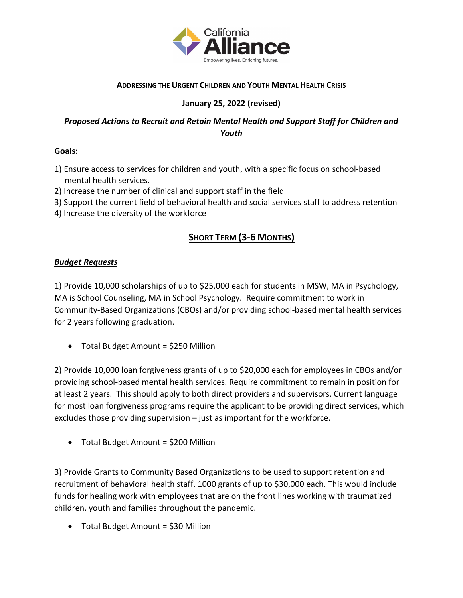

## **ADDRESSING THE URGENT CHILDREN AND YOUTH MENTAL HEALTH CRISIS**

## **January 25, 2022 (revised)**

## *Proposed Actions to Recruit and Retain Mental Health and Support Staff for Children and Youth*

### **Goals:**

- 1) Ensure access to services for children and youth, with a specific focus on school-based mental health services.
- 2) Increase the number of clinical and support staff in the field
- 3) Support the current field of behavioral health and social services staff to address retention
- 4) Increase the diversity of the workforce

# **SHORT TERM (3-6 MONTHS)**

## *Budget Requests*

1) Provide 10,000 scholarships of up to \$25,000 each for students in MSW, MA in Psychology, MA is School Counseling, MA in School Psychology. Require commitment to work in Community-Based Organizations (CBOs) and/or providing school-based mental health services for 2 years following graduation.

• Total Budget Amount = \$250 Million

2) Provide 10,000 loan forgiveness grants of up to \$20,000 each for employees in CBOs and/or providing school-based mental health services. Require commitment to remain in position for at least 2 years. This should apply to both direct providers and supervisors. Current language for most loan forgiveness programs require the applicant to be providing direct services, which excludes those providing supervision – just as important for the workforce.

• Total Budget Amount = \$200 Million

3) Provide Grants to Community Based Organizations to be used to support retention and recruitment of behavioral health staff. 1000 grants of up to \$30,000 each. This would include funds for healing work with employees that are on the front lines working with traumatized children, youth and families throughout the pandemic.

• Total Budget Amount = \$30 Million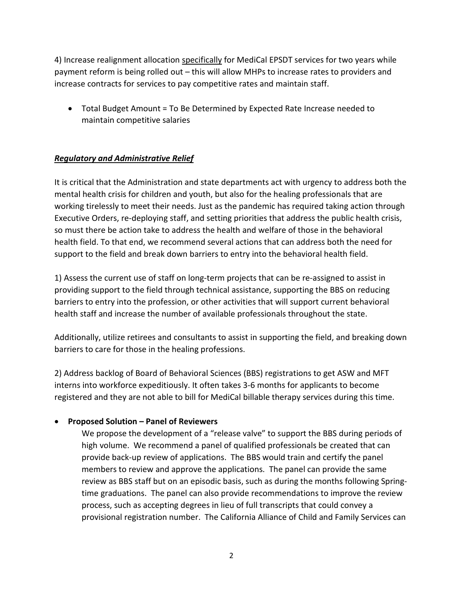4) Increase realignment allocation specifically for MediCal EPSDT services for two years while payment reform is being rolled out – this will allow MHPs to increase rates to providers and increase contracts for services to pay competitive rates and maintain staff.

• Total Budget Amount = To Be Determined by Expected Rate Increase needed to maintain competitive salaries

## *Regulatory and Administrative Relief*

It is critical that the Administration and state departments act with urgency to address both the mental health crisis for children and youth, but also for the healing professionals that are working tirelessly to meet their needs. Just as the pandemic has required taking action through Executive Orders, re-deploying staff, and setting priorities that address the public health crisis, so must there be action take to address the health and welfare of those in the behavioral health field. To that end, we recommend several actions that can address both the need for support to the field and break down barriers to entry into the behavioral health field.

1) Assess the current use of staff on long-term projects that can be re-assigned to assist in providing support to the field through technical assistance, supporting the BBS on reducing barriers to entry into the profession, or other activities that will support current behavioral health staff and increase the number of available professionals throughout the state.

Additionally, utilize retirees and consultants to assist in supporting the field, and breaking down barriers to care for those in the healing professions.

2) Address backlog of Board of Behavioral Sciences (BBS) registrations to get ASW and MFT interns into workforce expeditiously. It often takes 3-6 months for applicants to become registered and they are not able to bill for MediCal billable therapy services during this time.

### • **Proposed Solution – Panel of Reviewers**

We propose the development of a "release valve" to support the BBS during periods of high volume. We recommend a panel of qualified professionals be created that can provide back-up review of applications. The BBS would train and certify the panel members to review and approve the applications. The panel can provide the same review as BBS staff but on an episodic basis, such as during the months following Springtime graduations. The panel can also provide recommendations to improve the review process, such as accepting degrees in lieu of full transcripts that could convey a provisional registration number. The California Alliance of Child and Family Services can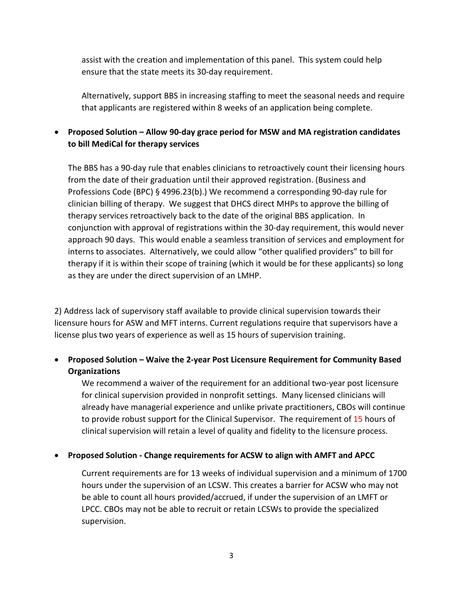assist with the creation and implementation of this panel. This system could help ensure that the state meets its 30-day requirement.

Alternatively, support BBS in increasing staffing to meet the seasonal needs and require that applicants are registered within 8 weeks of an application being complete.

## • **Proposed Solution – Allow 90-day grace period for MSW and MA registration candidates to bill MediCal for therapy services**

The BBS has a 90-day rule that enables clinicians to retroactively count their licensing hours from the date of their graduation until their approved registration. (Business and Professions Code (BPC) § 4996.23(b).) We recommend a corresponding 90-day rule for clinician billing of therapy. We suggest that DHCS direct MHPs to approve the billing of therapy services retroactively back to the date of the original BBS application. In conjunction with approval of registrations within the 30-day requirement, this would never approach 90 days. This would enable a seamless transition of services and employment for interns to associates. Alternatively, we could allow "other qualified providers" to bill for therapy if it is within their scope of training (which it would be for these applicants) so long as they are under the direct supervision of an LMHP.

2) Address lack of supervisory staff available to provide clinical supervision towards their licensure hours for ASW and MFT interns. Current regulations require that supervisors have a license plus two years of experience as well as 15 hours of supervision training.

## • **Proposed Solution – Waive the 2-year Post Licensure Requirement for Community Based Organizations**

We recommend a waiver of the requirement for an additional two-year post licensure for clinical supervision provided in nonprofit settings. Many licensed clinicians will already have managerial experience and unlike private practitioners, CBOs will continue to provide robust support for the Clinical Supervisor. The requirement of 15 hours of clinical supervision will retain a level of quality and fidelity to the licensure process.

### • **Proposed Solution - Change requirements for ACSW to align with AMFT and APCC**

Current requirements are for 13 weeks of individual supervision and a minimum of 1700 hours under the supervision of an LCSW. This creates a barrier for ACSW who may not be able to count all hours provided/accrued, if under the supervision of an LMFT or LPCC. CBOs may not be able to recruit or retain LCSWs to provide the specialized supervision.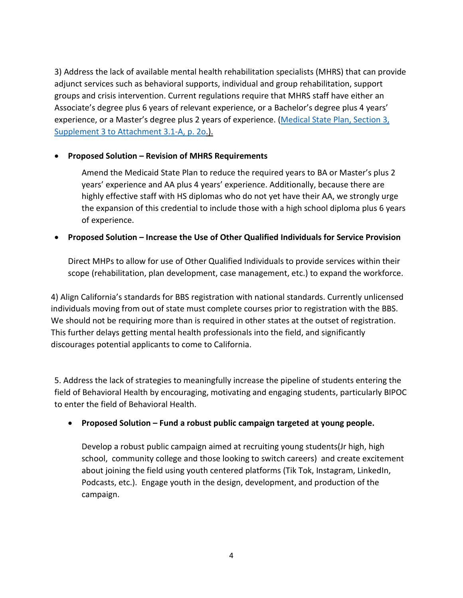3) Address the lack of available mental health rehabilitation specialists (MHRS) that can provide adjunct services such as behavioral supports, individual and group rehabilitation, support groups and crisis intervention. Current regulations require that MHRS staff have either an Associate's degree plus 6 years of relevant experience, or a Bachelor's degree plus 4 years' experience, or a Master's degree plus 2 years of experience. (Medical State Plan, Section 3, [Supplement 3 to Attachment 3.1-A, p. 2o.](https://www.dhcs.ca.gov/formsandpubs/laws/Documents/Supplement_3_to_Attachment_3.1-A.pdf)).

#### • **Proposed Solution – Revision of MHRS Requirements**

Amend the Medicaid State Plan to reduce the required years to BA or Master's plus 2 years' experience and AA plus 4 years' experience. Additionally, because there are highly effective staff with HS diplomas who do not yet have their AA, we strongly urge the expansion of this credential to include those with a high school diploma plus 6 years of experience.

#### • **Proposed Solution – Increase the Use of Other Qualified Individuals for Service Provision**

Direct MHPs to allow for use of Other Qualified Individuals to provide services within their scope (rehabilitation, plan development, case management, etc.) to expand the workforce.

4) Align California's standards for BBS registration with national standards. Currently unlicensed individuals moving from out of state must complete courses prior to registration with the BBS. We should not be requiring more than is required in other states at the outset of registration. This further delays getting mental health professionals into the field, and significantly discourages potential applicants to come to California.

5. Address the lack of strategies to meaningfully increase the pipeline of students entering the field of Behavioral Health by encouraging, motivating and engaging students, particularly BIPOC to enter the field of Behavioral Health.

### • **Proposed Solution – Fund a robust public campaign targeted at young people.**

Develop a robust public campaign aimed at recruiting young students(Jr high, high school, community college and those looking to switch careers) and create excitement about joining the field using youth centered platforms (Tik Tok, Instagram, LinkedIn, Podcasts, etc.). Engage youth in the design, development, and production of the campaign.